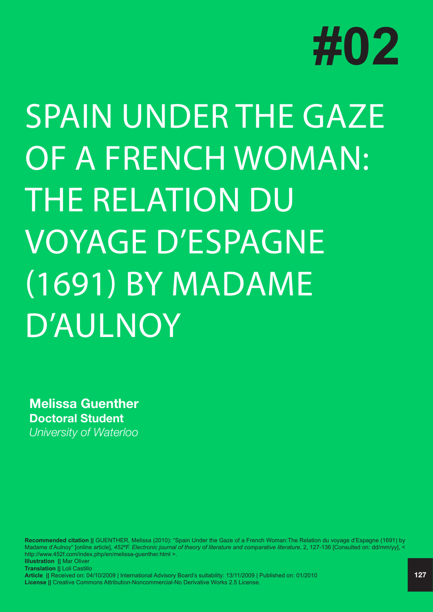

## SPAIN UNDER THE GAZE OF A FRENCH WOMAN: THE RELATION DU VOYAGE D'ESPAGNE (1691) BY MADAME D'AULNOY

**Melissa Guenther Doctoral Student** *University of Waterloo*

**Recommended citation ||** GUENTHER, Melissa (2010): "Spain Under the Gaze of a French Woman:The Relation du voyage d'Espagne (1691) by Madame d'Aulnoy" [online article], 452°F. Electronic journal of theory of literature and comparative literature, 2, 127-136 [Consulted on: dd/mm/yy], < http://www.452f.com/index.php/en/melissa-guenther.html >. **Illustration ||** Mar Oliver **Translation ||** Loli Castillo **Article ||** Received on: 04/10/2009 | International Advisory Board's suitability: 13/11/2009 | Published on: 01/2010 **License ||** Creative Commons Attribution-Noncommercial-No Derivative Works 2.5 License.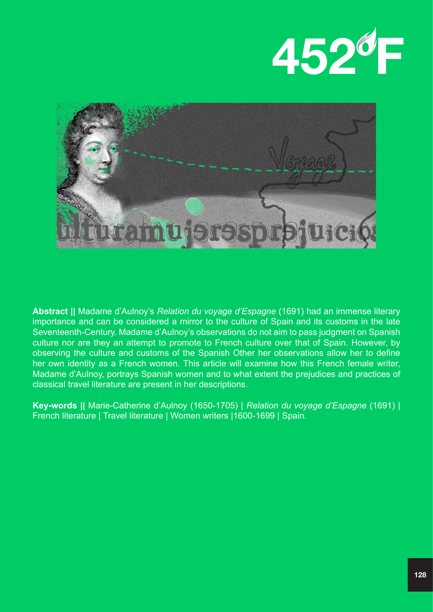



**Abstract ||** Madame d'Aulnoy's *Relation du voyage d'Espagne* (1691) had an immense literary importance and can be considered a mirror to the culture of Spain and its customs in the late Seventeenth-Century. Madame d'Aulnoy's observations do not aim to pass judgment on Spanish culture nor are they an attempt to promote to French culture over that of Spain. However, by observing the culture and customs of the Spanish Other her observations allow her to define her own identity as a French women. This article will examine how this French female writer, Madame d'Aulnoy, portrays Spanish women and to what extent the prejudices and practices of classical travel literature are present in her descriptions.

**Key-words ||** Marie-Catherine d'Aulnoy (1650-1705) | *Relation du voyage d'Espagne* (1691) | French literature | Travel literature | Women writers |1600-1699 | Spain.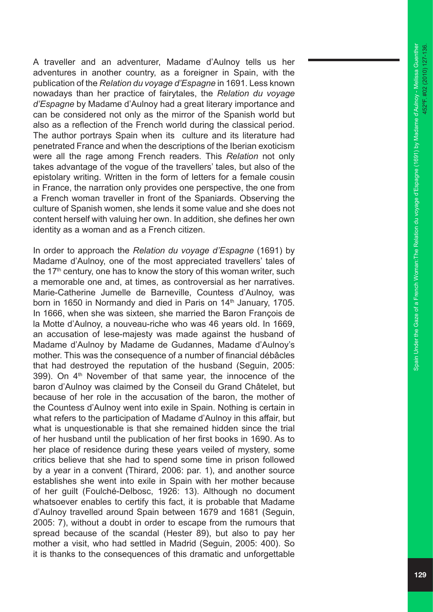A traveller and an adventurer, Madame d'Aulnoy tells us her adventures in another country, as a foreigner in Spain, with the publication of the *Relation du voyage d'Espagne* in 1691. Less known nowadays than her practice of fairytales, the *Relation du voyage d'Espagne* by Madame d'Aulnoy had a great literary importance and can be considered not only as the mirror of the Spanish world but also as a reflection of the French world during the classical period. The author portrays Spain when its culture and its literature had penetrated France and when the descriptions of the Iberian exoticism were all the rage among French readers. This *Relation* not only takes advantage of the vogue of the travellers' tales, but also of the epistolary writing. Written in the form of letters for a female cousin in France, the narration only provides one perspective, the one from a French woman traveller in front of the Spaniards. Observing the culture of Spanish women, she lends it some value and she does not content herself with valuing her own. In addition, she defines her own identity as a woman and as a French citizen.

In order to approach the *Relation du voyage d'Espagne* (1691) by Madame d'Aulnoy, one of the most appreciated travellers' tales of the  $17<sup>th</sup>$  century, one has to know the story of this woman writer, such a memorable one and, at times, as controversial as her narratives. Marie-Catherine Jumelle de Barneville, Countess d'Aulnoy, was born in 1650 in Normandy and died in Paris on 14<sup>th</sup> January, 1705. In 1666, when she was sixteen, she married the Baron François de la Motte d'Aulnoy, a nouveau-riche who was 46 years old. In 1669, an accusation of lese-majesty was made against the husband of Madame d'Aulnoy by Madame de Gudannes, Madame d'Aulnoy's mother. This was the consequence of a number of financial débâcles that had destroyed the reputation of the husband (Seguin, 2005: 399). On  $4<sup>th</sup>$  November of that same year, the innocence of the baron d'Aulnoy was claimed by the Conseil du Grand Châtelet, but because of her role in the accusation of the baron, the mother of the Countess d'Aulnoy went into exile in Spain. Nothing is certain in what refers to the participation of Madame d'Aulnoy in this affair, but what is unquestionable is that she remained hidden since the trial of her husband until the publication of her first books in 1690. As to her place of residence during these years veiled of mystery, some critics believe that she had to spend some time in prison followed by a year in a convent (Thirard, 2006: par. 1), and another source establishes she went into exile in Spain with her mother because of her guilt (Foulché-Delbosc, 1926: 13). Although no document whatsoever enables to certify this fact, it is probable that Madame d'Aulnoy travelled around Spain between 1679 and 1681 (Seguin, 2005: 7), without a doubt in order to escape from the rumours that spread because of the scandal (Hester 89), but also to pay her mother a visit, who had settled in Madrid (Seguin, 2005: 400). So it is thanks to the consequences of this dramatic and unforgettable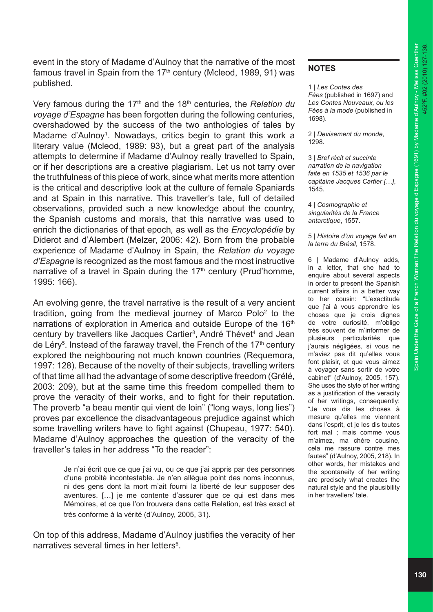event in the story of Madame d'Aulnoy that the narrative of the most famous travel in Spain from the  $17<sup>th</sup>$  century (Mcleod, 1989, 91) was published.

Very famous during the 17<sup>th</sup> and the 18<sup>th</sup> centuries, the *Relation du voyage d'Espagne* has been forgotten during the following centuries, overshadowed by the success of the two anthologies of tales by Madame d'Aulnoy<sup>1</sup>. Nowadays, critics begin to grant this work a literary value (Mcleod, 1989: 93), but a great part of the analysis attempts to determine if Madame d'Aulnoy really travelled to Spain, or if her descriptions are a creative plagiarism. Let us not tarry over the truthfulness of this piece of work, since what merits more attention is the critical and descriptive look at the culture of female Spaniards and at Spain in this narrative. This traveller's tale, full of detailed observations, provided such a new knowledge about the country, the Spanish customs and morals, that this narrative was used to enrich the dictionaries of that epoch*,* as well as the *Encyclopédie* by Diderot and d'Alembert (Melzer, 2006: 42). Born from the probable experience of Madame d'Aulnoy in Spain, the *Relation du voyage d'Espagne* is recognized as the most famous and the most instructive narrative of a travel in Spain during the  $17<sup>th</sup>$  century (Prud'homme, 1995: 166).

An evolving genre, the travel narrative is the result of a very ancient tradition, going from the medieval journey of Marco Polo<sup>2</sup> to the narrations of exploration in America and outside Europe of the 16<sup>th</sup> century by travellers like Jacques Cartier<sup>3</sup>, André Thévet<sup>4</sup> and Jean de Léry<sup>5</sup>. Instead of the faraway travel, the French of the 17<sup>th</sup> century explored the neighbouring not much known countries (Requemora, 1997: 128). Because of the novelty of their subjects, travelling writers of that time all had the advantage of some descriptive freedom (Grélé, 2003: 209), but at the same time this freedom compelled them to prove the veracity of their works, and to fight for their reputation. The proverb "a beau mentir qui vient de loin" ("long ways, long lies") proves par excellence the disadvantageous prejudice against which some travelling writers have to fight against (Chupeau, 1977: 540). Madame d'Aulnoy approaches the question of the veracity of the traveller's tales in her address "To the reader":

> Je n'ai écrit que ce que j'ai vu, ou ce que j'ai appris par des personnes d'une probité incontestable. Je n'en allègue point des noms inconnus, ni des gens dont la mort m'ait fourni la liberté de leur supposer des aventures. […] je me contente d'assurer que ce qui est dans mes Mémoires, et ce que l'on trouvera dans cette Relation, est très exact et très conforme à la vérité (d'Aulnoy, 2005, 31).

On top of this address, Madame d'Aulnoy justifies the veracity of her narratives several times in her letters<sup>6</sup>.

## **NOTES**

1 | *Les Contes des Fées* (published in 1697) and *Les Contes Nouveaux, ou les Fées à la mode* (published in 1698).

2 | *Devisement du monde*, 1298.

3 | *Bref récit et succinte narration de la navigation faite en 1535 et 1536 par le capitaine Jacques Cartier […]*, 1545.

4 | *Cosmographie et singularités de la France antarctique*, 1557.

5 | *Histoire d'un voyage fait en la terre du Brésil*, 1578.

6 | Madame d'Aulnoy adds, in a letter, that she had to enquire about several aspects in order to present the Spanish current affairs in a better way to her cousin: "L'exactitude que j'ai à vous apprendre les choses que je crois dignes de votre curiosité, m'oblige très souvent de m'informer de plusieurs particularités que j'aurais négligées, si vous ne m'aviez pas dit qu'elles vous font plaisir, et que vous aimez à voyager sans sortir de votre cabinet" (d'Aulnoy, 2005, 157). She uses the style of her writing as a justification of the veracity of her writings, consequently: "Je vous dis les choses à mesure qu'elles me viennent dans l'esprit, et je les dis toutes fort mal ; mais comme vous m'aimez, ma chère cousine, cela me rassure contre mes fautes" (d'Aulnoy, 2005, 218). In other words, her mistakes and the spontaneity of her writing are precisely what creates the natural style and the plausibility in her travellers' tale.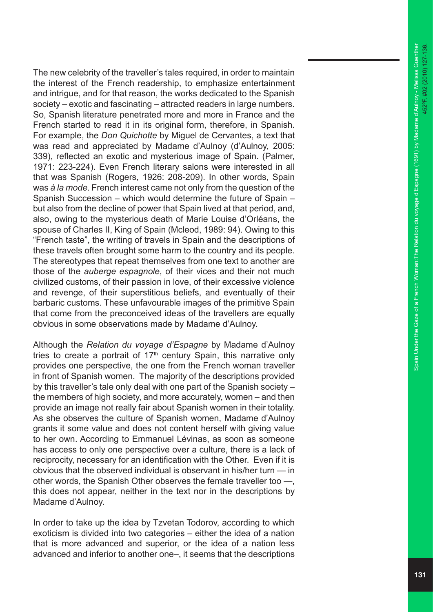The new celebrity of the traveller's tales required, in order to maintain the interest of the French readership, to emphasize entertainment and intrigue, and for that reason, the works dedicated to the Spanish society – exotic and fascinating – attracted readers in large numbers. So, Spanish literature penetrated more and more in France and the French started to read it in its original form, therefore, in Spanish. For example, the *Don Quichotte* by Miguel de Cervantes, a text that was read and appreciated by Madame d'Aulnoy (d'Aulnoy, 2005: 339), reflected an exotic and mysterious image of Spain. (Palmer, 1971: 223-224). Even French literary salons were interested in all that was Spanish (Rogers, 1926: 208-209). In other words, Spain was *à la mode*. French interest came not only from the question of the Spanish Succession – which would determine the future of Spain – but also from the decline of power that Spain lived at that period, and, also, owing to the mysterious death of Marie Louise d'Orléans, the spouse of Charles II, King of Spain (Mcleod, 1989: 94). Owing to this "French taste", the writing of travels in Spain and the descriptions of these travels often brought some harm to the country and its people. The stereotypes that repeat themselves from one text to another are those of the *auberge espagnole*, of their vices and their not much civilized customs, of their passion in love, of their excessive violence and revenge, of their superstitious beliefs, and eventually of their barbaric customs. These unfavourable images of the primitive Spain that come from the preconceived ideas of the travellers are equally obvious in some observations made by Madame d'Aulnoy.

Although the *Relation du voyage d'Espagne* by Madame d'Aulnoy tries to create a portrait of  $17<sup>th</sup>$  century Spain, this narrative only provides one perspective, the one from the French woman traveller in front of Spanish women. The majority of the descriptions provided by this traveller's tale only deal with one part of the Spanish society – the members of high society, and more accurately, women – and then provide an image not really fair about Spanish women in their totality. As she observes the culture of Spanish women, Madame d'Aulnoy grants it some value and does not content herself with giving value to her own. According to Emmanuel Lévinas, as soon as someone has access to only one perspective over a culture, there is a lack of reciprocity, necessary for an identification with the Other. Even if it is obvious that the observed individual is observant in his/her turn — in other words, the Spanish Other observes the female traveller too —, this does not appear, neither in the text nor in the descriptions by Madame d'Aulnoy.

In order to take up the idea by Tzvetan Todorov, according to which exoticism is divided into two categories – either the idea of a nation that is more advanced and superior, or the idea of a nation less advanced and inferior to another one–, it seems that the descriptions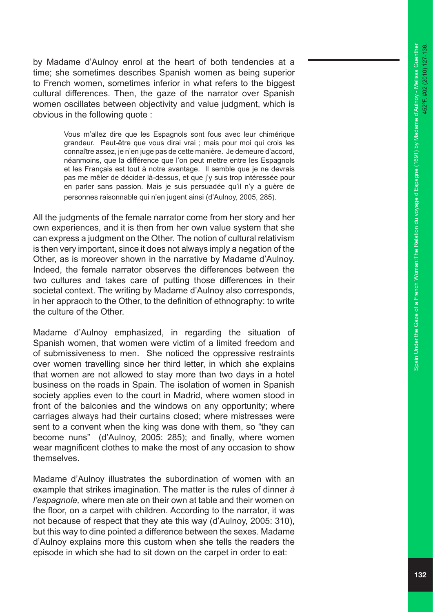by Madame d'Aulnoy enrol at the heart of both tendencies at a time; she sometimes describes Spanish women as being superior to French women, sometimes inferior in what refers to the biggest cultural differences. Then, the gaze of the narrator over Spanish women oscillates between objectivity and value judgment, which is obvious in the following quote :

> Vous m'allez dire que les Espagnols sont fous avec leur chimérique grandeur. Peut-être que vous dirai vrai ; mais pour moi qui crois les connaître assez, je n'en juge pas de cette manière. Je demeure d'accord, néanmoins, que la différence que l'on peut mettre entre les Espagnols et les Français est tout à notre avantage. Il semble que je ne devrais pas me mêler de décider là-dessus, et que j'y suis trop intéressée pour en parler sans passion. Mais je suis persuadée qu'il n'y a guère de personnes raisonnable qui n'en jugent ainsi (d'Aulnoy, 2005, 285).

All the judgments of the female narrator come from her story and her own experiences, and it is then from her own value system that she can express a judgment on the Other. The notion of cultural relativism is then very important, since it does not always imply a negation of the Other, as is moreover shown in the narrative by Madame d'Aulnoy. Indeed, the female narrator observes the differences between the two cultures and takes care of putting those differences in their societal context. The writing by Madame d'Aulnoy also corresponds, in her appraoch to the Other, to the definition of ethnography: to write the culture of the Other.

Madame d'Aulnoy emphasized, in regarding the situation of Spanish women, that women were victim of a limited freedom and of submissiveness to men. She noticed the oppressive restraints over women travelling since her third letter, in which she explains that women are not allowed to stay more than two days in a hotel business on the roads in Spain. The isolation of women in Spanish society applies even to the court in Madrid, where women stood in front of the balconies and the windows on any opportunity; where carriages always had their curtains closed; where mistresses were sent to a convent when the king was done with them, so "they can become nuns" (d'Aulnoy, 2005: 285); and finally, where women wear magnificent clothes to make the most of any occasion to show themselves.

Madame d'Aulnoy illustrates the subordination of women with an example that strikes imagination. The matter is the rules of dinner *à l'espagnole,* where men ate on their own at table and their women on the floor, on a carpet with children. According to the narrator, it was not because of respect that they ate this way (d'Aulnoy, 2005: 310), but this way to dine pointed a difference between the sexes. Madame d'Aulnoy explains more this custom when she tells the readers the episode in which she had to sit down on the carpet in order to eat: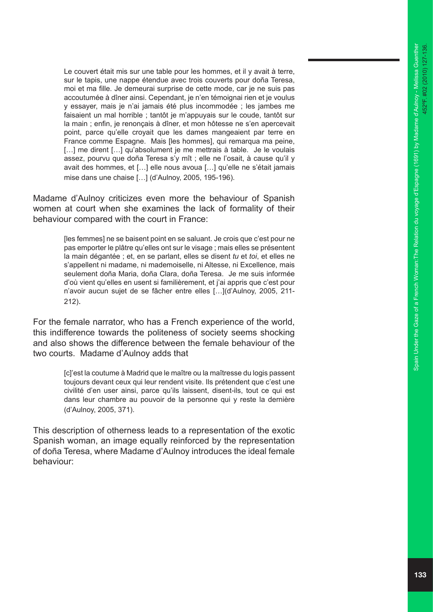Le couvert était mis sur une table pour les hommes, et il y avait à terre, sur le tapis, une nappe étendue avec trois couverts pour doña Teresa, moi et ma fille. Je demeurai surprise de cette mode, car je ne suis pas accoutumée à dîner ainsi. Cependant, je n'en témoignai rien et je voulus y essayer, mais je n'ai jamais été plus incommodée ; les jambes me faisaient un mal horrible ; tantôt je m'appuyais sur le coude, tantôt sur la main ; enfin, je renonçais à dîner, et mon hôtesse ne s'en apercevait point, parce qu'elle croyait que les dames mangeaient par terre en France comme Espagne. Mais [les hommes], qui remarqua ma peine, [...] me dirent [...] qu'absolument je me mettrais à table. Je le voulais assez, pourvu que doña Teresa s'y mît ; elle ne l'osait, à cause qu'il y avait des hommes, et […] elle nous avoua […] qu'elle ne s'était jamais mise dans une chaise […] (d'Aulnoy, 2005, 195-196).

Madame d'Aulnoy criticizes even more the behaviour of Spanish women at court when she examines the lack of formality of their behaviour compared with the court in France:

> [les femmes] ne se baisent point en se saluant. Je crois que c'est pour ne pas emporter le plâtre qu'elles ont sur le visage ; mais elles se présentent la main dégantée ; et, en se parlant, elles se disent *tu* et *toi*, et elles ne s'appellent ni madame, ni mademoiselle, ni Altesse, ni Excellence, mais seulement doña Maria, doña Clara, doña Teresa. Je me suis informée d'où vient qu'elles en usent si familièrement, et j'ai appris que c'est pour n'avoir aucun sujet de se fâcher entre elles […](d'Aulnoy, 2005, 211- 212) .

For the female narrator, who has a French experience of the world, this indifference towards the politeness of society seems shocking and also shows the difference between the female behaviour of the two courts. Madame d'Aulnoy adds that

> [c]'est la coutume à Madrid que le maître ou la maîtresse du logis passent toujours devant ceux qui leur rendent visite. Ils prétendent que c'est une civilité d'en user ainsi, parce qu'ils laissent, disent-ils, tout ce qui est dans leur chambre au pouvoir de la personne qui y reste la dernière (d'Aulnoy, 2005, 371).

This description of otherness leads to a representation of the exotic Spanish woman, an image equally reinforced by the representation of doña Teresa, where Madame d'Aulnoy introduces the ideal female behaviour: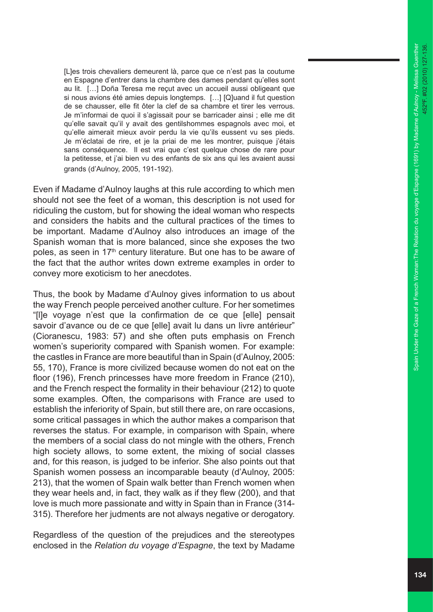[L]es trois chevaliers demeurent là, parce que ce n'est pas la coutume en Espagne d'entrer dans la chambre des dames pendant qu'elles sont au lit. […] Doña Teresa me reçut avec un accueil aussi obligeant que si nous avions été amies depuis longtemps. […] [Q]uand il fut question de se chausser, elle fit ôter la clef de sa chambre et tirer les verrous. Je m'informai de quoi il s'agissait pour se barricader ainsi ; elle me dit qu'elle savait qu'il y avait des gentilshommes espagnols avec moi, et qu'elle aimerait mieux avoir perdu la vie qu'ils eussent vu ses pieds. Je m'éclatai de rire, et je la priai de me les montrer, puisque j'étais sans conséquence. Il est vrai que c'est quelque chose de rare pour la petitesse, et j'ai bien vu des enfants de six ans qui les avaient aussi grands (d'Aulnoy, 2005, 191-192).

Even if Madame d'Aulnoy laughs at this rule according to which men should not see the feet of a woman, this description is not used for ridiculing the custom, but for showing the ideal woman who respects and considers the habits and the cultural practices of the times to be important. Madame d'Aulnoy also introduces an image of the Spanish woman that is more balanced, since she exposes the two poles, as seen in 17<sup>th</sup> century literature. But one has to be aware of the fact that the author writes down extreme examples in order to convey more exoticism to her anecdotes.

Thus, the book by Madame d'Aulnoy gives information to us about the way French people perceived another culture. For her sometimes "[l]e voyage n'est que la confirmation de ce que [elle] pensait savoir d'avance ou de ce que [elle] avait lu dans un livre antérieur" (Cioranescu, 1983: 57) and she often puts emphasis on French women's superiority compared with Spanish women. For example: the castles in France are more beautiful than in Spain (d'Aulnoy, 2005: 55, 170), France is more civilized because women do not eat on the floor (196), French princesses have more freedom in France (210), and the French respect the formality in their behaviour (212) to quote some examples. Often, the comparisons with France are used to establish the inferiority of Spain, but still there are, on rare occasions, some critical passages in which the author makes a comparison that reverses the status . For example, in comparison with Spain, where the members of a social class do not mingle with the others, French high society allows, to some extent, the mixing of social classes and, for this reason, is judged to be inferior. She also points out that Spanish women possess an incomparable beauty (d'Aulnoy, 2005: 213), that the women of Spain walk better than French women when they wear heels and, in fact, they walk as if they flew (200), and that love is much more passionate and witty in Spain than in France (314- 315). Therefore her judments are not always negative or derogatory.

Regardless of the question of the prejudices and the stereotypes enclosed in the *Relation du voyage d'Espagne*, the text by Madame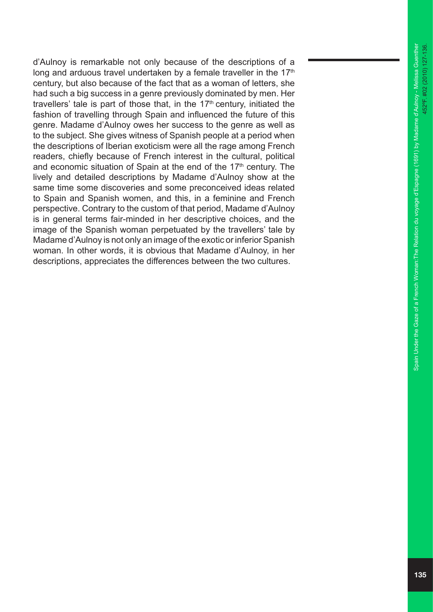d'Aulnoy is remarkable not only because of the descriptions of a long and arduous travel undertaken by a female traveller in the  $17<sup>th</sup>$ century, but also because of the fact that as a woman of letters, she had such a big success in a genre previously dominated by men. Her travellers' tale is part of those that, in the  $17<sup>th</sup>$  century, initiated the fashion of travelling through Spain and influenced the future of this genre. Madame d'Aulnoy owes her success to the genre as well as to the subject. She gives witness of Spanish people at a period when the descriptions of Iberian exoticism were all the rage among French readers, chiefly because of French interest in the cultural, political and economic situation of Spain at the end of the 17<sup>th</sup> century. The lively and detailed descriptions by Madame d'Aulnoy show at the same time some discoveries and some preconceived ideas related to Spain and Spanish women, and this, in a feminine and French perspective. Contrary to the custom of that period, Madame d'Aulnoy is in general terms fair-minded in her descriptive choices, and the image of the Spanish woman perpetuated by the travellers' tale by Madame d'Aulnoy is not only an image of the exotic or inferior Spanish woman. In other words, it is obvious that Madame d'Aulnoy, in her descriptions, appreciates the differences between the two cultures.